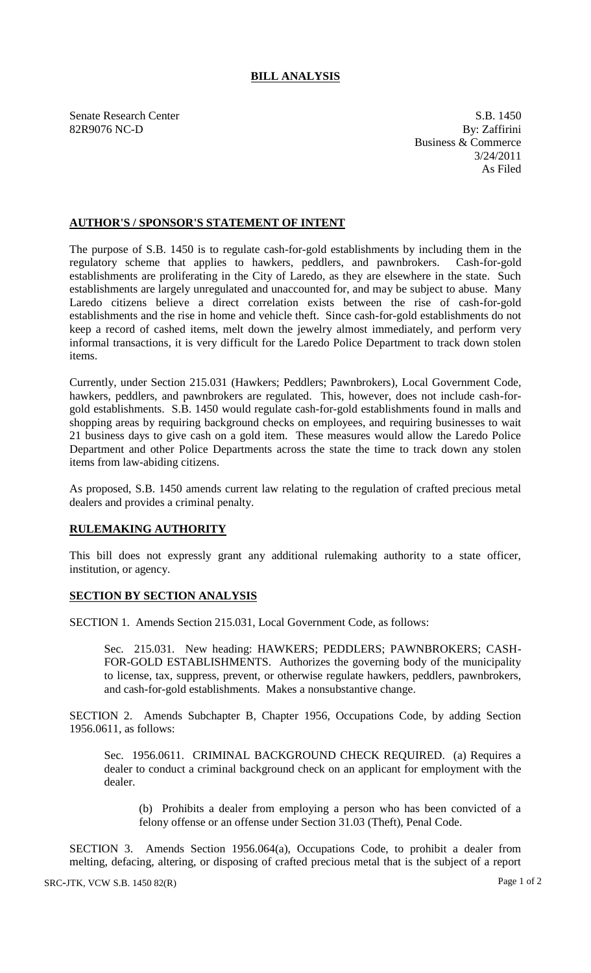## **BILL ANALYSIS**

Senate Research Center S.B. 1450<br>
82R9076 NC-D By: Zaffirini 82R9076 NC-D

Business & Commerce 3/24/2011 As Filed

## **AUTHOR'S / SPONSOR'S STATEMENT OF INTENT**

The purpose of S.B. 1450 is to regulate cash-for-gold establishments by including them in the regulatory scheme that applies to hawkers, peddlers, and pawnbrokers. Cash-for-gold establishments are proliferating in the City of Laredo, as they are elsewhere in the state. Such establishments are largely unregulated and unaccounted for, and may be subject to abuse. Many Laredo citizens believe a direct correlation exists between the rise of cash-for-gold establishments and the rise in home and vehicle theft. Since cash-for-gold establishments do not keep a record of cashed items, melt down the jewelry almost immediately, and perform very informal transactions, it is very difficult for the Laredo Police Department to track down stolen items.

Currently, under Section 215.031 (Hawkers; Peddlers; Pawnbrokers), Local Government Code, hawkers, peddlers, and pawnbrokers are regulated. This, however, does not include cash-forgold establishments. S.B. 1450 would regulate cash-for-gold establishments found in malls and shopping areas by requiring background checks on employees, and requiring businesses to wait 21 business days to give cash on a gold item. These measures would allow the Laredo Police Department and other Police Departments across the state the time to track down any stolen items from law-abiding citizens.

As proposed, S.B. 1450 amends current law relating to the regulation of crafted precious metal dealers and provides a criminal penalty.

## **RULEMAKING AUTHORITY**

This bill does not expressly grant any additional rulemaking authority to a state officer, institution, or agency.

## **SECTION BY SECTION ANALYSIS**

SECTION 1. Amends Section 215.031, Local Government Code, as follows:

Sec. 215.031. New heading: HAWKERS; PEDDLERS; PAWNBROKERS; CASH-FOR-GOLD ESTABLISHMENTS. Authorizes the governing body of the municipality to license, tax, suppress, prevent, or otherwise regulate hawkers, peddlers, pawnbrokers, and cash-for-gold establishments. Makes a nonsubstantive change.

SECTION 2. Amends Subchapter B, Chapter 1956, Occupations Code, by adding Section 1956.0611, as follows:

Sec. 1956.0611. CRIMINAL BACKGROUND CHECK REQUIRED. (a) Requires a dealer to conduct a criminal background check on an applicant for employment with the dealer.

(b) Prohibits a dealer from employing a person who has been convicted of a felony offense or an offense under Section 31.03 (Theft), Penal Code.

SECTION 3. Amends Section 1956.064(a), Occupations Code, to prohibit a dealer from melting, defacing, altering, or disposing of crafted precious metal that is the subject of a report